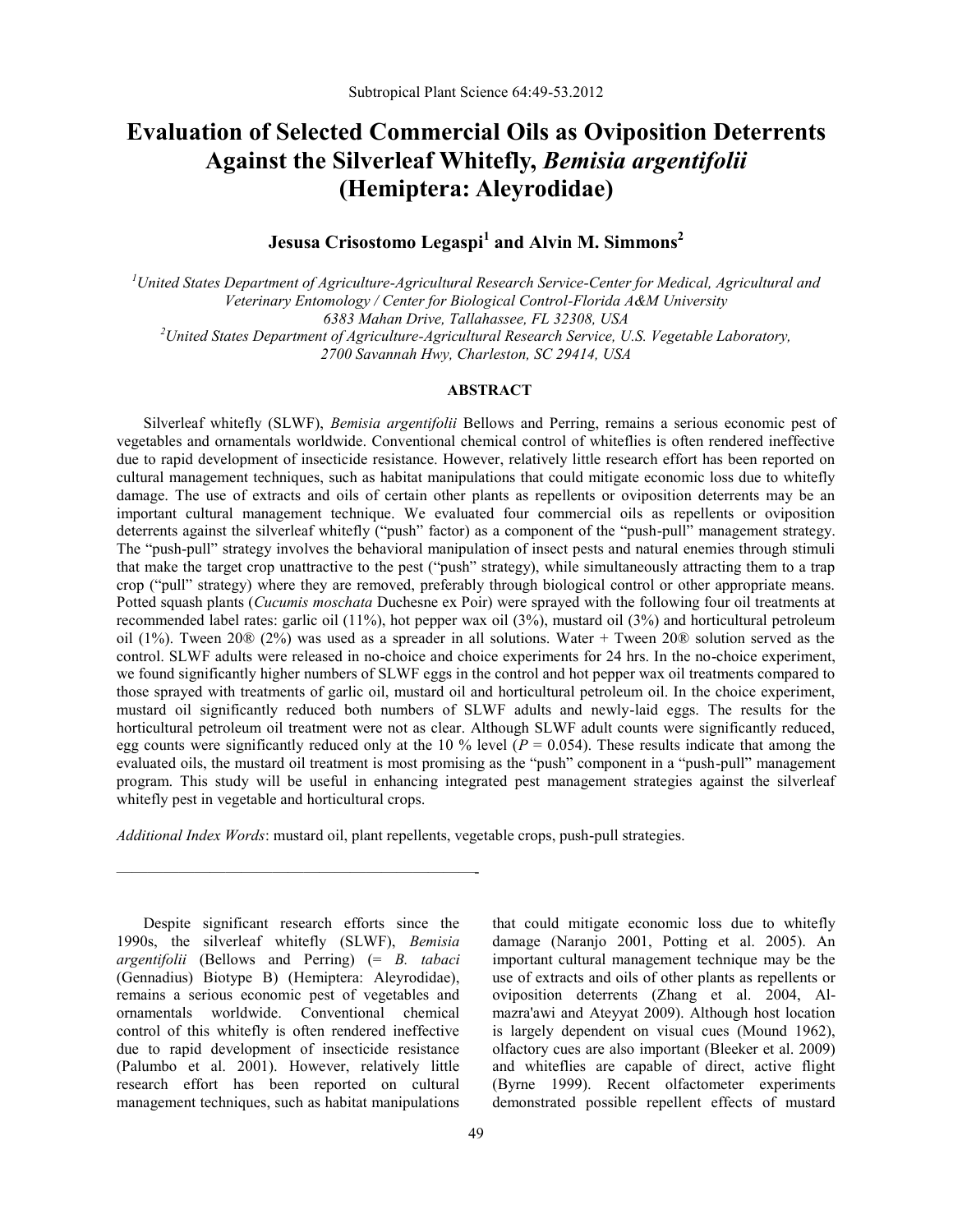# **Evaluation of Selected Commercial Oils as Oviposition Deterrents Against the Silverleaf Whitefly,** *Bemisia argentifolii* **(Hemiptera: Aleyrodidae)**

# **Jesusa Crisostomo Legaspi<sup>1</sup> and Alvin M. Simmons<sup>2</sup>**

*<sup>1</sup>United States Department of Agriculture-Agricultural Research Service-Center for Medical, Agricultural and Veterinary Entomology / Center for Biological Control-Florida A&M University 6383 Mahan Drive, Tallahassee, FL 32308, USA <sup>2</sup>United States Department of Agriculture-Agricultural Research Service, U.S. Vegetable Laboratory, 2700 Savannah Hwy, Charleston, SC 29414, USA*

### **ABSTRACT**

Silverleaf whitefly (SLWF), *Bemisia argentifolii* Bellows and Perring, remains a serious economic pest of vegetables and ornamentals worldwide. Conventional chemical control of whiteflies is often rendered ineffective due to rapid development of insecticide resistance. However, relatively little research effort has been reported on cultural management techniques, such as habitat manipulations that could mitigate economic loss due to whitefly damage. The use of extracts and oils of certain other plants as repellents or oviposition deterrents may be an important cultural management technique. We evaluated four commercial oils as repellents or oviposition deterrents against the silverleaf whitefly ("push" factor) as a component of the "push-pull" management strategy. The "push-pull" strategy involves the behavioral manipulation of insect pests and natural enemies through stimuli that make the target crop unattractive to the pest ("push" strategy), while simultaneously attracting them to a trap crop ("pull" strategy) where they are removed, preferably through biological control or other appropriate means. Potted squash plants (*Cucumis moschata* Duchesne ex Poir) were sprayed with the following four oil treatments at recommended label rates: garlic oil (11%), hot pepper wax oil (3%), mustard oil (3%) and horticultural petroleum oil (1%). Tween 20® (2%) was used as a spreader in all solutions. Water + Tween 20® solution served as the control. SLWF adults were released in no-choice and choice experiments for 24 hrs. In the no-choice experiment, we found significantly higher numbers of SLWF eggs in the control and hot pepper wax oil treatments compared to those sprayed with treatments of garlic oil, mustard oil and horticultural petroleum oil. In the choice experiment, mustard oil significantly reduced both numbers of SLWF adults and newly-laid eggs. The results for the horticultural petroleum oil treatment were not as clear. Although SLWF adult counts were significantly reduced, egg counts were significantly reduced only at the 10 % level ( $P = 0.054$ ). These results indicate that among the evaluated oils, the mustard oil treatment is most promising as the "push" component in a "push-pull" management program. This study will be useful in enhancing integrated pest management strategies against the silverleaf whitefly pest in vegetable and horticultural crops.

*Additional Index Words*: mustard oil, plant repellents, vegetable crops, push-pull strategies.

Despite significant research efforts since the 1990s, the silverleaf whitefly (SLWF), *Bemisia argentifolii* (Bellows and Perring) (= *B. tabaci* (Gennadius) Biotype B) (Hemiptera: Aleyrodidae), remains a serious economic pest of vegetables and ornamentals worldwide. Conventional chemical control of this whitefly is often rendered ineffective due to rapid development of insecticide resistance (Palumbo et al. 2001). However, relatively little research effort has been reported on cultural management techniques, such as habitat manipulations

———————————————————————-

that could mitigate economic loss due to whitefly damage (Naranjo 2001, Potting et al. 2005). An important cultural management technique may be the use of extracts and oils of other plants as repellents or oviposition deterrents (Zhang et al. 2004, Almazra'awi and Ateyyat 2009). Although host location is largely dependent on visual cues (Mound 1962), olfactory cues are also important (Bleeker et al. 2009) and whiteflies are capable of direct, active flight (Byrne 1999). Recent olfactometer experiments demonstrated possible repellent effects of mustard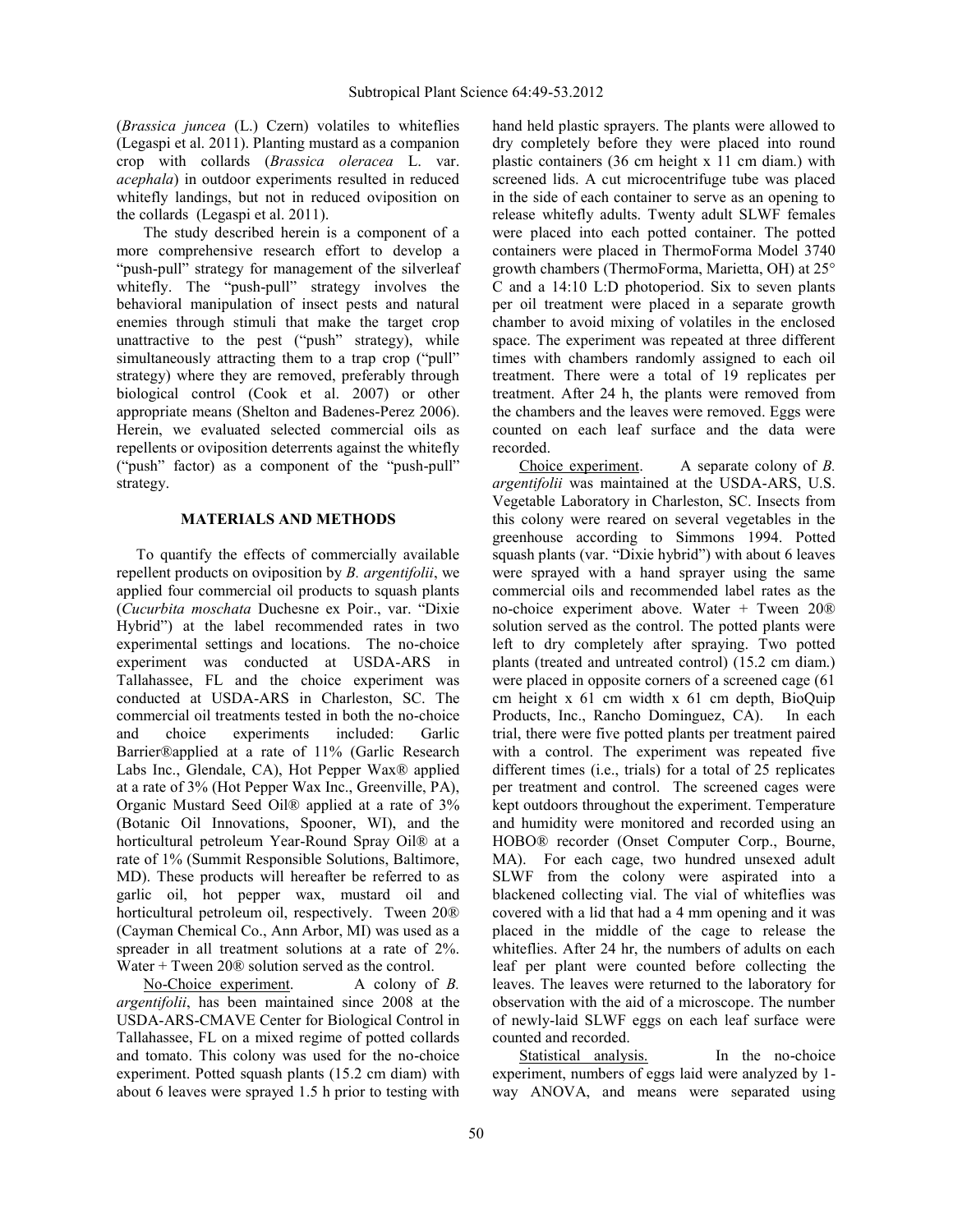(*Brassica juncea* (L.) Czern) volatiles to whiteflies (Legaspi et al. 2011). Planting mustard as a companion crop with collards (*Brassica oleracea* L. var. *acephala*) in outdoor experiments resulted in reduced whitefly landings, but not in reduced oviposition on the collards (Legaspi et al. 2011).

The study described herein is a component of a more comprehensive research effort to develop a "push-pull" strategy for management of the silverleaf whitefly. The "push-pull" strategy involves the behavioral manipulation of insect pests and natural enemies through stimuli that make the target crop unattractive to the pest ( $"push"$  strategy), while simultaneously attracting them to a trap crop ("pull" strategy) where they are removed, preferably through biological control (Cook et al. 2007) or other appropriate means (Shelton and Badenes-Perez 2006). Herein, we evaluated selected commercial oils as repellents or oviposition deterrents against the whitefly ("push" factor) as a component of the "push-pull" strategy.

#### **MATERIALS AND METHODS**

To quantify the effects of commercially available repellent products on oviposition by *B. argentifolii*, we applied four commercial oil products to squash plants (Cucurbita moschata Duchesne ex Poir., var. "Dixie Hybrid") at the label recommended rates in two experimental settings and locations. The no-choice experiment was conducted at USDA-ARS in Tallahassee, FL and the choice experiment was conducted at USDA-ARS in Charleston, SC. The commercial oil treatments tested in both the no-choice and choice experiments included: Garlic Barrier®applied at a rate of 11% (Garlic Research Labs Inc., Glendale, CA), Hot Pepper Wax® applied at a rate of 3% (Hot Pepper Wax Inc., Greenville, PA), Organic Mustard Seed Oil® applied at a rate of 3% (Botanic Oil Innovations, Spooner, WI), and the horticultural petroleum Year-Round Spray Oil® at a rate of 1% (Summit Responsible Solutions, Baltimore, MD). These products will hereafter be referred to as garlic oil, hot pepper wax, mustard oil and horticultural petroleum oil, respectively. Tween 20® (Cayman Chemical Co., Ann Arbor, MI) was used as a spreader in all treatment solutions at a rate of 2%. Water + Tween 20 $\&$  solution served as the control.

No-Choice experiment. A colony of *B. argentifolii*, has been maintained since 2008 at the USDA-ARS-CMAVE Center for Biological Control in Tallahassee, FL on a mixed regime of potted collards and tomato. This colony was used for the no-choice experiment. Potted squash plants (15.2 cm diam) with about 6 leaves were sprayed 1.5 h prior to testing with

hand held plastic sprayers. The plants were allowed to dry completely before they were placed into round plastic containers (36 cm height x 11 cm diam.) with screened lids. A cut microcentrifuge tube was placed in the side of each container to serve as an opening to release whitefly adults. Twenty adult SLWF females were placed into each potted container. The potted containers were placed in ThermoForma Model 3740 growth chambers (ThermoForma, Marietta, OH) at 25° C and a 14:10 L:D photoperiod. Six to seven plants per oil treatment were placed in a separate growth chamber to avoid mixing of volatiles in the enclosed space. The experiment was repeated at three different times with chambers randomly assigned to each oil treatment. There were a total of 19 replicates per treatment. After 24 h, the plants were removed from the chambers and the leaves were removed. Eggs were counted on each leaf surface and the data were recorded.

Choice experiment. A separate colony of *B. argentifolii* was maintained at the USDA-ARS, U.S. Vegetable Laboratory in Charleston, SC. Insects from this colony were reared on several vegetables in the greenhouse according to Simmons 1994. Potted squash plants (var. "Dixie hybrid") with about 6 leaves were sprayed with a hand sprayer using the same commercial oils and recommended label rates as the no-choice experiment above. Water + Tween 20® solution served as the control. The potted plants were left to dry completely after spraying. Two potted plants (treated and untreated control) (15.2 cm diam.) were placed in opposite corners of a screened cage (61 cm height x 61 cm width x 61 cm depth, BioQuip Products, Inc., Rancho Dominguez, CA). In each trial, there were five potted plants per treatment paired with a control. The experiment was repeated five different times (i.e., trials) for a total of 25 replicates per treatment and control. The screened cages were kept outdoors throughout the experiment. Temperature and humidity were monitored and recorded using an HOBO® recorder (Onset Computer Corp., Bourne, MA). For each cage, two hundred unsexed adult SLWF from the colony were aspirated into a blackened collecting vial. The vial of whiteflies was covered with a lid that had a 4 mm opening and it was placed in the middle of the cage to release the whiteflies. After 24 hr, the numbers of adults on each leaf per plant were counted before collecting the leaves. The leaves were returned to the laboratory for observation with the aid of a microscope. The number of newly-laid SLWF eggs on each leaf surface were counted and recorded.

Statistical analysis.In the no-choice experiment, numbers of eggs laid were analyzed by 1 way ANOVA, and means were separated using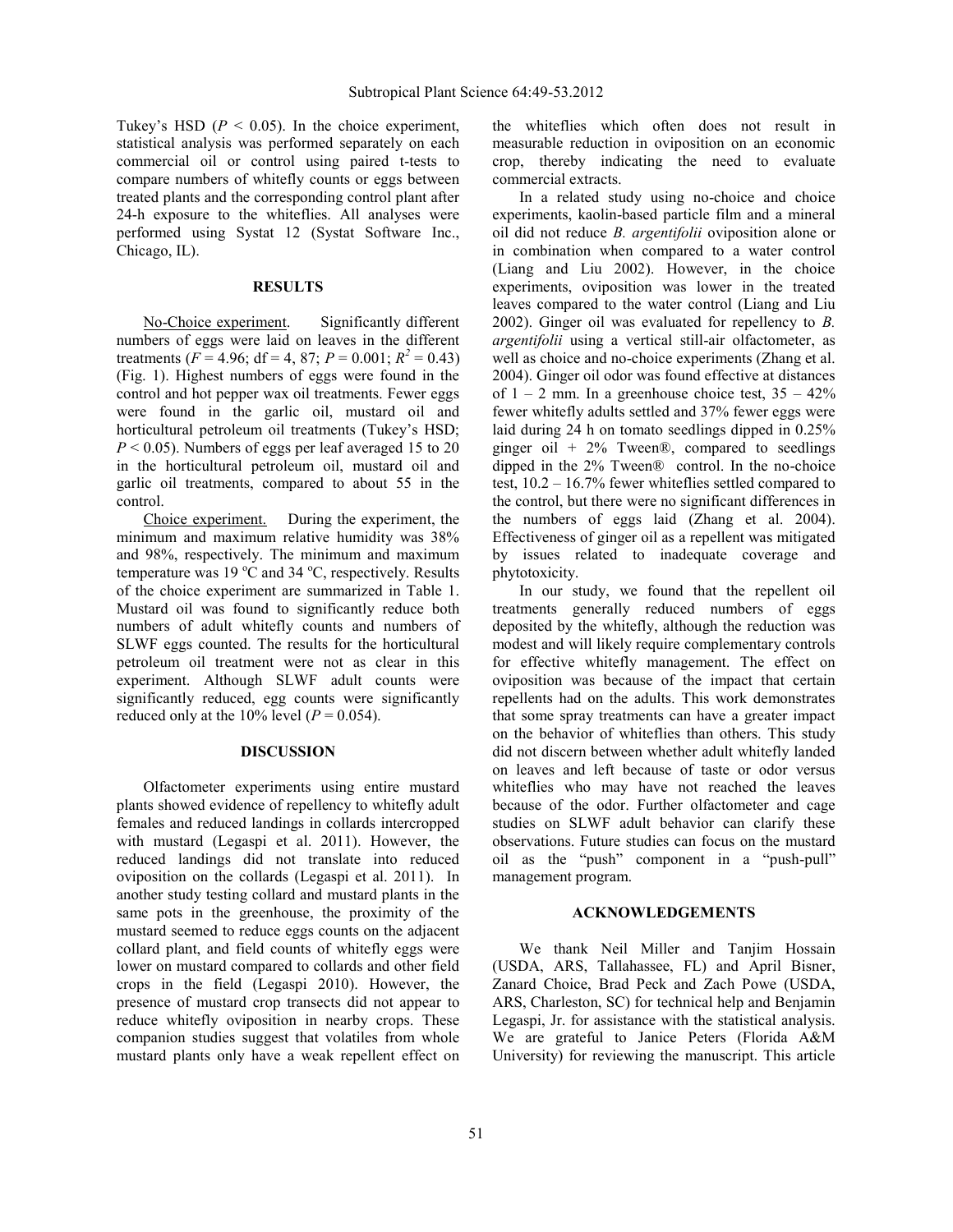Tukey's HSD ( $P < 0.05$ ). In the choice experiment, statistical analysis was performed separately on each commercial oil or control using paired t-tests to compare numbers of whitefly counts or eggs between treated plants and the corresponding control plant after 24-h exposure to the whiteflies. All analyses were performed using Systat 12 (Systat Software Inc., Chicago, IL).

#### **RESULTS**

No-Choice experiment. Significantly different numbers of eggs were laid on leaves in the different treatments ( $F = 4.96$ ; df = 4, 87;  $P = 0.001$ ;  $R^2 = 0.43$ ) (Fig. 1). Highest numbers of eggs were found in the control and hot pepper wax oil treatments. Fewer eggs were found in the garlic oil, mustard oil and horticultural petroleum oil treatments (Tukey's HSD;  $P \le 0.05$ ). Numbers of eggs per leaf averaged 15 to 20 in the horticultural petroleum oil, mustard oil and garlic oil treatments, compared to about 55 in the control.

Choice experiment. During the experiment, the minimum and maximum relative humidity was 38% and 98%, respectively. The minimum and maximum temperature was  $19 \text{ °C}$  and  $34 \text{ °C}$ , respectively. Results of the choice experiment are summarized in Table 1. Mustard oil was found to significantly reduce both numbers of adult whitefly counts and numbers of SLWF eggs counted. The results for the horticultural petroleum oil treatment were not as clear in this experiment. Although SLWF adult counts were significantly reduced, egg counts were significantly reduced only at the 10% level  $(P = 0.054)$ .

#### **DISCUSSION**

Olfactometer experiments using entire mustard plants showed evidence of repellency to whitefly adult females and reduced landings in collards intercropped with mustard (Legaspi et al. 2011). However, the reduced landings did not translate into reduced oviposition on the collards (Legaspi et al. 2011). In another study testing collard and mustard plants in the same pots in the greenhouse, the proximity of the mustard seemed to reduce eggs counts on the adjacent collard plant, and field counts of whitefly eggs were lower on mustard compared to collards and other field crops in the field (Legaspi 2010). However, the presence of mustard crop transects did not appear to reduce whitefly oviposition in nearby crops. These companion studies suggest that volatiles from whole mustard plants only have a weak repellent effect on

the whiteflies which often does not result in measurable reduction in oviposition on an economic crop, thereby indicating the need to evaluate commercial extracts.

In a related study using no-choice and choice experiments, kaolin-based particle film and a mineral oil did not reduce *B. argentifolii* oviposition alone or in combination when compared to a water control (Liang and Liu 2002). However, in the choice experiments, oviposition was lower in the treated leaves compared to the water control (Liang and Liu 2002). Ginger oil was evaluated for repellency to *B. argentifolii* using a vertical still-air olfactometer, as well as choice and no-choice experiments (Zhang et al. 2004). Ginger oil odor was found effective at distances of  $1 - 2$  mm. In a greenhouse choice test,  $35 - 42\%$ fewer whitefly adults settled and 37% fewer eggs were laid during 24 h on tomato seedlings dipped in 0.25% ginger oil +  $2\%$  Tween®, compared to seedlings dipped in the 2% Tween® control. In the no-choice test, 10.2 – 16.7% fewer whiteflies settled compared to the control, but there were no significant differences in the numbers of eggs laid (Zhang et al. 2004). Effectiveness of ginger oil as a repellent was mitigated by issues related to inadequate coverage and phytotoxicity.

In our study, we found that the repellent oil treatments generally reduced numbers of eggs deposited by the whitefly, although the reduction was modest and will likely require complementary controls for effective whitefly management. The effect on oviposition was because of the impact that certain repellents had on the adults. This work demonstrates that some spray treatments can have a greater impact on the behavior of whiteflies than others. This study did not discern between whether adult whitefly landed on leaves and left because of taste or odor versus whiteflies who may have not reached the leaves because of the odor. Further olfactometer and cage studies on SLWF adult behavior can clarify these observations. Future studies can focus on the mustard oil as the "push" component in a "push-pull" management program.

#### **ACKNOWLEDGEMENTS**

We thank Neil Miller and Tanjim Hossain (USDA, ARS, Tallahassee, FL) and April Bisner, Zanard Choice, Brad Peck and Zach Powe (USDA, ARS, Charleston, SC) for technical help and Benjamin Legaspi, Jr. for assistance with the statistical analysis. We are grateful to Janice Peters (Florida A&M University) for reviewing the manuscript. This article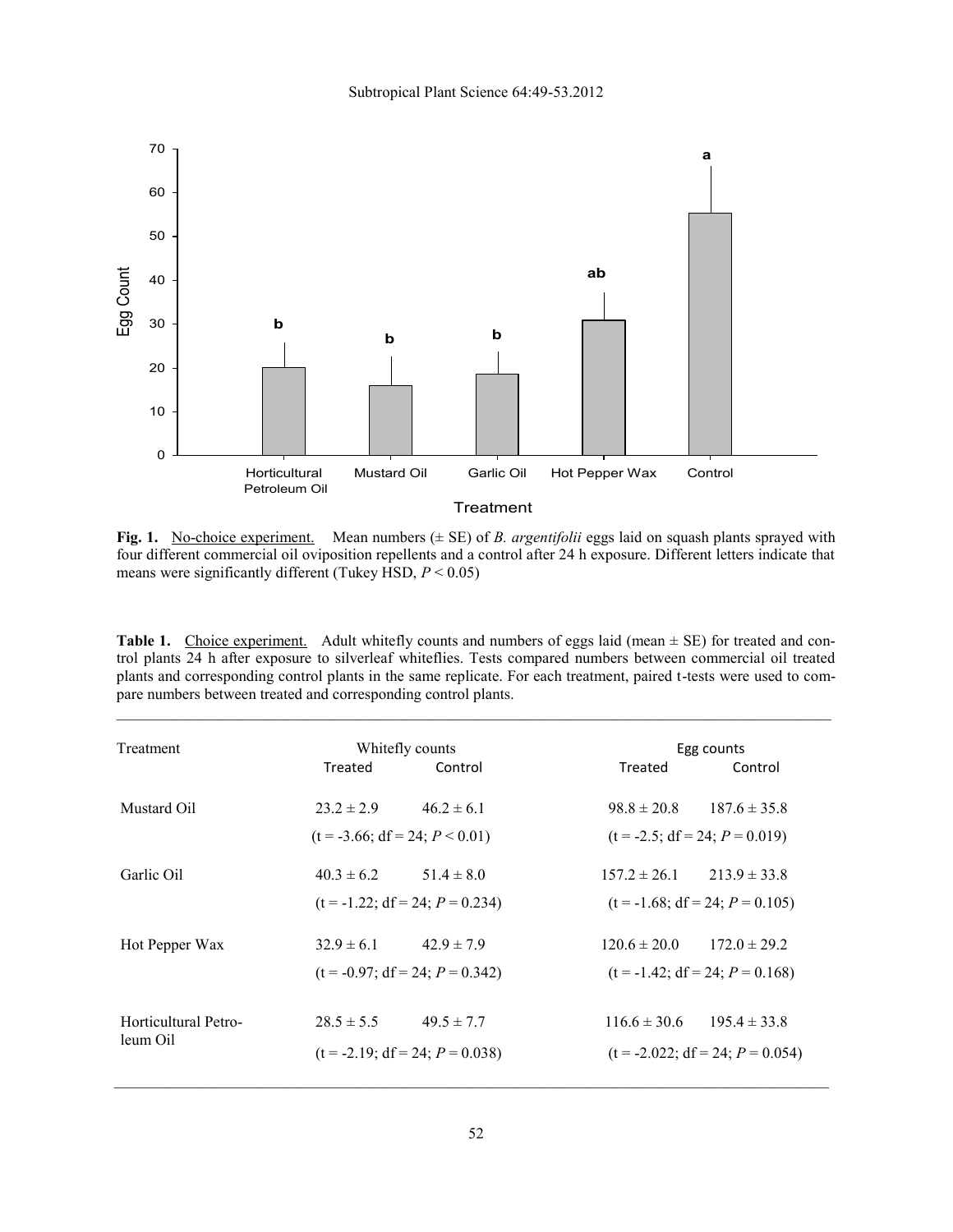

**Fig. 1.** No-choice experiment. Mean numbers ( $\pm$  SE) of *B. argentifolii* eggs laid on squash plants sprayed with four different commercial oil oviposition repellents and a control after 24 h exposure. Different letters indicate that means were significantly different (Tukey HSD, *P* < 0.05)

**Table 1.** Choice experiment. Adult whitefly counts and numbers of eggs laid (mean  $\pm$  SE) for treated and control plants 24 h after exposure to silverleaf whiteflies. Tests compared numbers between commercial oil treated plants and corresponding control plants in the same replicate. For each treatment, paired t-tests were used to compare numbers between treated and corresponding control plants.

| Treatment                        | Whitefly counts                   |                | Egg counts                        |                                    |
|----------------------------------|-----------------------------------|----------------|-----------------------------------|------------------------------------|
|                                  | Treated                           | Control        | Treated                           | Control                            |
| Mustard Oil                      | $23.2 \pm 2.9$                    | $46.2 \pm 6.1$ | $98.8 \pm 20.8$                   | $187.6 \pm 35.8$                   |
|                                  | $(t = -3.66; df = 24; P < 0.01)$  |                | $(t = -2.5; df = 24; P = 0.019)$  |                                    |
| Garlic Oil                       | $40.3 \pm 6.2$ $51.4 \pm 8.0$     |                | $157.2 \pm 26.1$ $213.9 \pm 33.8$ |                                    |
|                                  | $(t = -1.22; df = 24; P = 0.234)$ |                | $(t = -1.68; df = 24; P = 0.105)$ |                                    |
| Hot Pepper Wax                   | $32.9 \pm 6.1$                    | $42.9 \pm 7.9$ | $120.6 \pm 20.0$                  | $172.0 \pm 29.2$                   |
|                                  | $(t = -0.97; df = 24; P = 0.342)$ |                | $(t = -1.42; df = 24; P = 0.168)$ |                                    |
| Horticultural Petro-<br>leum Oil | $28.5 \pm 5.5$                    | $49.5 \pm 7.7$ | $116.6 \pm 30.6$                  | $1954 \pm 338$                     |
|                                  | $(t = -2.19; df = 24; P = 0.038)$ |                |                                   | $(t = -2.022; df = 24; P = 0.054)$ |

 $\mathcal{L}_\mathcal{L} = \mathcal{L}_\mathcal{L}$